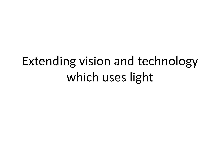# Extending vision and technology which uses light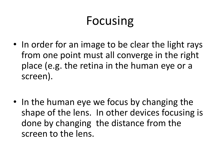# Focusing

- In order for an image to be clear the light rays from one point must all converge in the right place (e.g. the retina in the human eye or a screen).
- In the human eye we focus by changing the shape of the lens. In other devices focusing is done by changing the distance from the screen to the lens.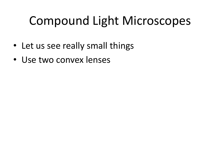# Compound Light Microscopes

- Let us see really small things
- Use two convex lenses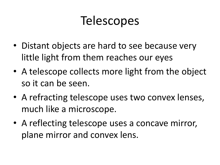## **Telescopes**

- Distant objects are hard to see because very little light from them reaches our eyes
- A telescope collects more light from the object so it can be seen.
- A refracting telescope uses two convex lenses, much like a microscope.
- A reflecting telescope uses a concave mirror, plane mirror and convex lens.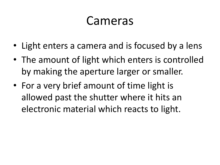### Cameras

- Light enters a camera and is focused by a lens
- The amount of light which enters is controlled by making the aperture larger or smaller.
- For a very brief amount of time light is allowed past the shutter where it hits an electronic material which reacts to light.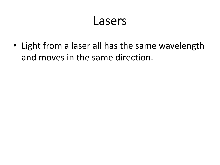#### Lasers

• Light from a laser all has the same wavelength and moves in the same direction.